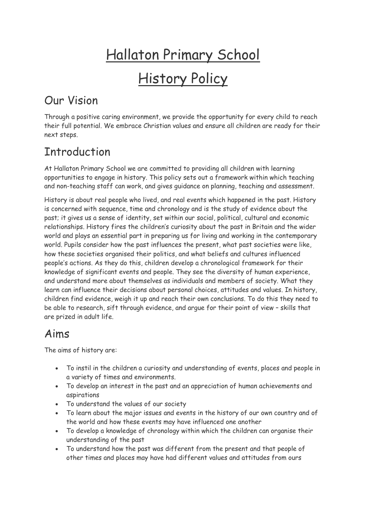# Hallaton Primary School History Policy

### Our Vision

Through a positive caring environment, we provide the opportunity for every child to reach their full potential. We embrace Christian values and ensure all children are ready for their next steps.

### Introduction

At Hallaton Primary School we are committed to providing all children with learning opportunities to engage in history. This policy sets out a framework within which teaching and non-teaching staff can work, and gives guidance on planning, teaching and assessment.

History is about real people who lived, and real events which happened in the past. History is concerned with sequence, time and chronology and is the study of evidence about the past; it gives us a sense of identity, set within our social, political, cultural and economic relationships. History fires the children's curiosity about the past in Britain and the wider world and plays an essential part in preparing us for living and working in the contemporary world. Pupils consider how the past influences the present, what past societies were like, how these societies organised their politics, and what beliefs and cultures influenced people's actions. As they do this, children develop a chronological framework for their knowledge of significant events and people. They see the diversity of human experience, and understand more about themselves as individuals and members of society. What they learn can influence their decisions about personal choices, attitudes and values. In history, children find evidence, weigh it up and reach their own conclusions. To do this they need to be able to research, sift through evidence, and argue for their point of view – skills that are prized in adult life.

#### Aims

The aims of history are:

- To instil in the children a curiosity and understanding of events, places and people in a variety of times and environments.
- To develop an interest in the past and an appreciation of human achievements and aspirations
- To understand the values of our society
- To learn about the major issues and events in the history of our own country and of the world and how these events may have influenced one another
- To develop a knowledge of chronology within which the children can organise their understanding of the past
- To understand how the past was different from the present and that people of other times and places may have had different values and attitudes from ours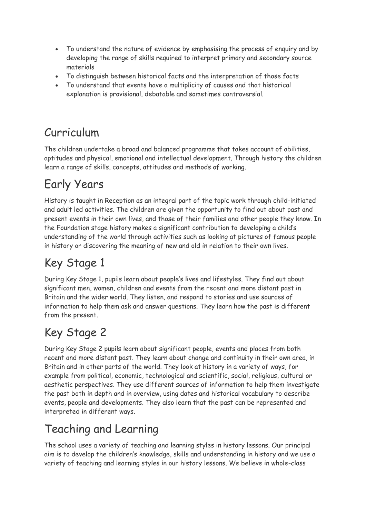- To understand the nature of evidence by emphasising the process of enquiry and by developing the range of skills required to interpret primary and secondary source materials
- To distinguish between historical facts and the interpretation of those facts
- To understand that events have a multiplicity of causes and that historical explanation is provisional, debatable and sometimes controversial.

## Curriculum

The children undertake a broad and balanced programme that takes account of abilities, aptitudes and physical, emotional and intellectual development. Through history the children learn a range of skills, concepts, attitudes and methods of working.

### Early Years

History is taught in Reception as an integral part of the topic work through child-initiated and adult led activities. The children are given the opportunity to find out about past and present events in their own lives, and those of their families and other people they know. In the Foundation stage history makes a significant contribution to developing a child's understanding of the world through activities such as looking at pictures of famous people in history or discovering the meaning of new and old in relation to their own lives.

# Key Stage 1

During Key Stage 1, pupils learn about people's lives and lifestyles. They find out about significant men, women, children and events from the recent and more distant past in Britain and the wider world. They listen, and respond to stories and use sources of information to help them ask and answer questions. They learn how the past is different from the present.

#### Key Stage 2

During Key Stage 2 pupils learn about significant people, events and places from both recent and more distant past. They learn about change and continuity in their own area, in Britain and in other parts of the world. They look at history in a variety of ways, for example from political, economic, technological and scientific, social, religious, cultural or aesthetic perspectives. They use different sources of information to help them investigate the past both in depth and in overview, using dates and historical vocabulary to describe events, people and developments. They also learn that the past can be represented and interpreted in different ways.

# Teaching and Learning

The school uses a variety of teaching and learning styles in history lessons. Our principal aim is to develop the children's knowledge, skills and understanding in history and we use a variety of teaching and learning styles in our history lessons. We believe in whole-class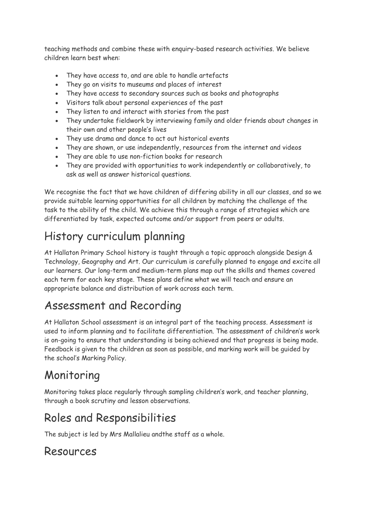teaching methods and combine these with enquiry-based research activities. We believe children learn best when:

- They have access to, and are able to handle artefacts
- They go on visits to museums and places of interest
- They have access to secondary sources such as books and photographs
- Visitors talk about personal experiences of the past
- They listen to and interact with stories from the past
- They undertake fieldwork by interviewing family and older friends about changes in their own and other people's lives
- They use drama and dance to act out historical events
- They are shown, or use independently, resources from the internet and videos
- They are able to use non-fiction books for research
- They are provided with opportunities to work independently or collaboratively, to ask as well as answer historical questions.

We recognise the fact that we have children of differing ability in all our classes, and so we provide suitable learning opportunities for all children by matching the challenge of the task to the ability of the child. We achieve this through a range of strategies which are differentiated by task, expected outcome and/or support from peers or adults.

#### History curriculum planning

At Hallaton Primary School history is taught through a topic approach alongside Design & Technology, Geography and Art. Our curriculum is carefully planned to engage and excite all our learners. Our long-term and medium-term plans map out the skills and themes covered each term for each key stage. These plans define what we will teach and ensure an appropriate balance and distribution of work across each term.

#### Assessment and Recording

At Hallaton School assessment is an integral part of the teaching process. Assessment is used to inform planning and to facilitate differentiation. The assessment of children's work is on-going to ensure that understanding is being achieved and that progress is being made. Feedback is given to the children as soon as possible, and marking work will be guided by the school's Marking Policy.

#### Monitoring

Monitoring takes place regularly through sampling children's work, and teacher planning, through a book scrutiny and lesson observations.

#### Roles and Responsibilities

The subject is led by Mrs Mallalieu andthe staff as a whole.

#### Resources